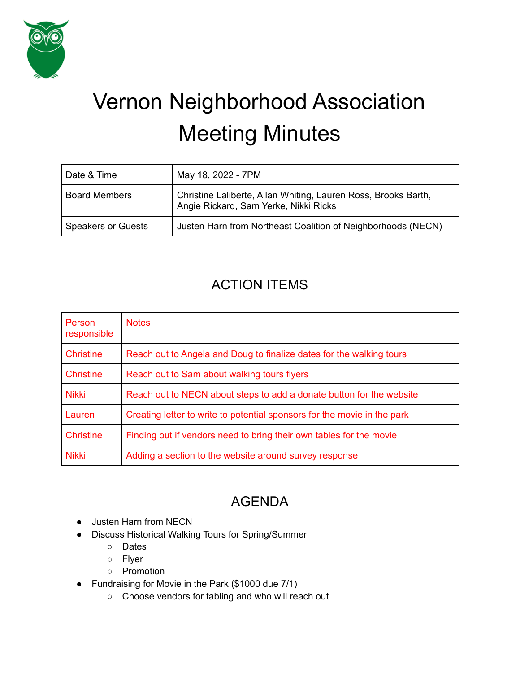

# Vernon Neighborhood Association Meeting Minutes

| Date & Time               | May 18, 2022 - 7PM                                                                                      |
|---------------------------|---------------------------------------------------------------------------------------------------------|
| <b>Board Members</b>      | Christine Laliberte, Allan Whiting, Lauren Ross, Brooks Barth,<br>Angie Rickard, Sam Yerke, Nikki Ricks |
| <b>Speakers or Guests</b> | Justen Harn from Northeast Coalition of Neighborhoods (NECN)                                            |

## ACTION ITEMS

| Person<br>responsible | <b>Notes</b>                                                             |
|-----------------------|--------------------------------------------------------------------------|
| <b>Christine</b>      | Reach out to Angela and Doug to finalize dates for the walking tours     |
| <b>Christine</b>      | Reach out to Sam about walking tours flyers                              |
| <b>Nikki</b>          | Reach out to NECN about steps to add a donate button for the website     |
| Lauren                | Creating letter to write to potential sponsors for the movie in the park |
| <b>Christine</b>      | Finding out if vendors need to bring their own tables for the movie      |
| <b>Nikki</b>          | Adding a section to the website around survey response                   |

# AGENDA

- Justen Harn from NECN
- Discuss Historical Walking Tours for Spring/Summer
	- Dates
	- Flyer
	- Promotion
	- Fundraising for Movie in the Park (\$1000 due 7/1)
		- Choose vendors for tabling and who will reach out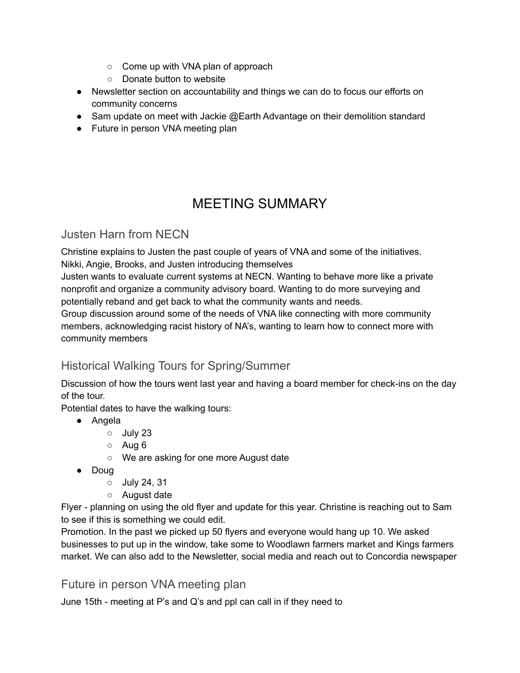- Come up with VNA plan of approach
- Donate button to website
- Newsletter section on accountability and things we can do to focus our efforts on community concerns
- Sam update on meet with Jackie @Earth Advantage on their demolition standard
- Future in person VNA meeting plan

# MEETING SUMMARY

#### Justen Harn from NECN

Christine explains to Justen the past couple of years of VNA and some of the initiatives. Nikki, Angie, Brooks, and Justen introducing themselves

Justen wants to evaluate current systems at NECN. Wanting to behave more like a private nonprofit and organize a community advisory board. Wanting to do more surveying and potentially reband and get back to what the community wants and needs.

Group discussion around some of the needs of VNA like connecting with more community members, acknowledging racist history of NA's, wanting to learn how to connect more with community members

### Historical Walking Tours for Spring/Summer

Discussion of how the tours went last year and having a board member for check-ins on the day of the tour.

Potential dates to have the walking tours:

- Angela
	- July 23
	- Aug 6
	- We are asking for one more August date
- Doug
	- July 24, 31
	- August date

Flyer - planning on using the old flyer and update for this year. Christine is reaching out to Sam to see if this is something we could edit.

Promotion. In the past we picked up 50 flyers and everyone would hang up 10. We asked businesses to put up in the window, take some to Woodlawn farmers market and Kings farmers market. We can also add to the Newsletter, social media and reach out to Concordia newspaper

Future in person VNA meeting plan

June 15th - meeting at P's and Q's and ppl can call in if they need to